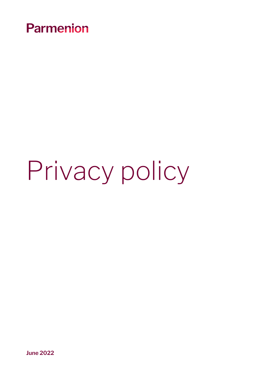

# Privacy policy

**June 2022**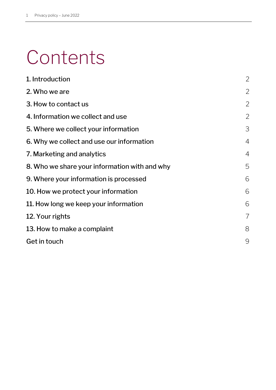## **Contents**

| 1. Introduction                               | $\overline{2}$ |
|-----------------------------------------------|----------------|
| 2. Who we are                                 | $\overline{2}$ |
| 3. How to contact us                          | $\overline{2}$ |
| 4. Information we collect and use             | $\overline{2}$ |
| 5. Where we collect your information          | 3              |
| 6. Why we collect and use our information     | $\overline{4}$ |
| 7. Marketing and analytics                    | $\overline{4}$ |
| 8. Who we share your information with and why | 5              |
| 9. Where your information is processed        | 6              |
| 10. How we protect your information           | 6              |
| 11. How long we keep your information         | 6              |
| 12. Your rights                               | $\overline{7}$ |
| 13. How to make a complaint                   | 8              |
| Get in touch                                  | 9              |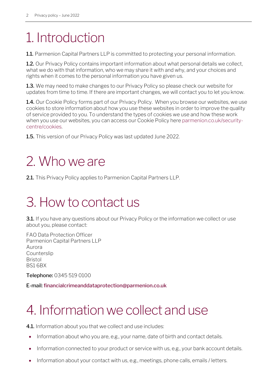### <span id="page-2-0"></span>1. Introduction

1.1. Parmenion Capital Partners LLP is committed to protecting your personal information.

**1.2.** Our Privacy Policy contains important information about what personal details we collect, what we do with that information, who we may share it with and why, and your choices and rights when it comes to the personal information you have given us.

1.3. We may need to make changes to our Privacy Policy so please check our website for updates from time to time. If there are important changes, we will contact you to let you know.

1.4. Our Cookie Policy forms part of our Privacy Policy. When you browse our websites, we use cookies to store information about how you use these websites in order to improve the quality of service provided to you. To understand the types of cookies we use and how these work when you use our websites, you can access our Cookie Policy her[e parmenion.co.uk/security](https://www.parmenion.co.uk/security-centre/cookies)[centre/cookies.](https://www.parmenion.co.uk/security-centre/cookies)

1.5. This version of our Privacy Policy was last updated June 2022.

### <span id="page-2-1"></span>2. Who we are

2.1. This Privacy Policy applies to Parmenion Capital Partners LLP.

### <span id="page-2-2"></span>3. How to contact us

**3.1.** If you have any questions about our Privacy Policy or the information we collect or use about you, please contact:

FAO Data Protection Officer Parmenion Capital Partners LLP Aurora **Counterslip** Bristol BS1 6BX

Telephone: 0345 519 0100

E-mail: [financialcrimeanddataprotection@parmenion.co.uk](mailto:financialcrimeanddataprotection@parmenion.co.uk)

### <span id="page-2-3"></span>4. Information we collect and use

**4.1.** Information about you that we collect and use includes:

- Information about who you are, e.g., your name, date of birth and contact details.
- Information connected to your product or service with us, e.g., your bank account details.
- Information about your contact with us, e.g., meetings, phone calls, emails / letters.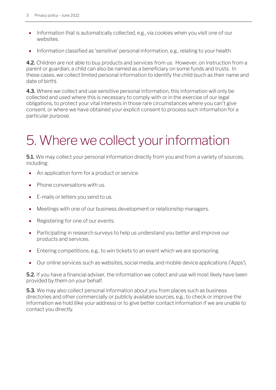- Information that is automatically collected, e.g., via cookies when you visit one of our websites.
- Information classified as 'sensitive' personal information, e.g., relating to your health.

4.2. Children are not able to buy products and services from us. However, on instruction from a parent or guardian, a child can also be named as a beneficiary on some funds and trusts. In these cases, we collect limited personal information to identify the child (such as their name and date of birth).

4.3. Where we collect and use sensitive personal information, this information will only be collected and used where this is necessary to comply with or in the exercise of our legal obligations, to protect your vital interests in those rare circumstances where you can't give consent, or where we have obtained your explicit consent to process such information for a particular purpose.

### <span id="page-3-0"></span>5. Where we collect your information

**5.1.** We may collect your personal information directly from you and from a variety of sources, including:

- An application form for a product or service.
- Phone conversations with us.
- E-mails or letters you send to us.
- Meetings with one of our business development or relationship managers.
- Registering for one of our events.
- Participating in research surveys to help us understand you better and improve our products and services.
- Entering competitions, e.g., to win tickets to an event which we are sponsoring.
- Our online services such as websites, social media, and mobile device applications ('Apps').

**5.2.** If you have a financial adviser, the information we collect and use will most likely have been provided by them on your behalf.

**5.3.** We may also collect personal information about you from places such as business directories and other commercially or publicly available sources, e.g., to check or improve the information we hold (like your address) or to give better contact information if we are unable to contact you directly.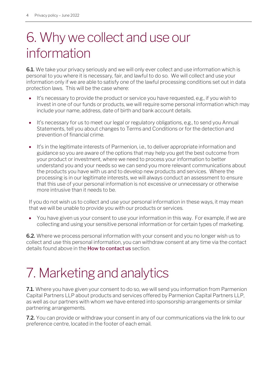#### <span id="page-4-0"></span>6. Why we collect and use our information

**6.1.** We take your privacy seriously and we will only ever collect and use information which is personal to you where it is necessary, fair, and lawful to do so. We will collect and use your information only if we are able to satisfy one of the lawful processing conditions set out in data protection laws. This will be the case where:

- It's necessary to provide the product or service you have requested, e.g., if you wish to invest in one of our funds or products, we will require some personal information which may include your name, address, date of birth and bank account details.
- It's necessary for us to meet our legal or regulatory obligations, e.g., to send you Annual Statements, tell you about changes to Terms and Conditions or for the detection and prevention of financial crime.
- It's in the legitimate interests of Parmenion, i.e., to deliver appropriate information and guidance so you are aware of the options that may help you get the best outcome from your product or investment, where we need to process your information to better understand you and your needs so we can send you more relevant communications about the products you have with us and to develop new products and services. Where the processing is in our legitimate interests, we will always conduct an assessment to ensure that this use of your personal information is not excessive or unnecessary or otherwise more intrusive than it needs to be.

If you do not wish us to collect and use your personal information in these ways, it may mean that we will be unable to provide you with our products or services.

• You have given us your consent to use your information in this way. For example, if we are collecting and using your sensitive personal information or for certain types of marketing.

6.2. Where we process personal information with your consent and you no longer wish us to collect and use this personal information, you can withdraw consent at any time via the contact details found above in the [How to contact us](#page-2-2) section.

#### <span id="page-4-1"></span>7. Marketing and analytics

**7.1.** Where you have given your consent to do so, we will send you information from Parmenion Capital Partners LLP about products and services offered by Parmenion Capital Partners LLP, as well as our partners with whom we have entered into sponsorship arrangements or similar partnering arrangements.

**7.2.** You can provide or withdraw your consent in any of our communications via the link to our preference centre, located in the footer of each email.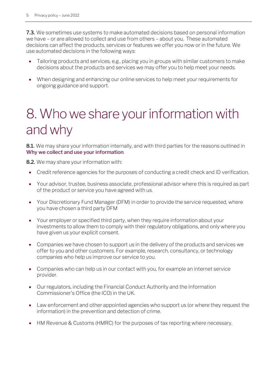**7.3.** We sometimes use systems to make automated decisions based on personal information we have – or are allowed to collect and use from others – about you. These automated decisions can affect the products, services or features we offer you now or in the future. We use automated decisions in the following ways:

- Tailoring products and services, e.g., placing you in groups with similar customers to make decisions about the products and services we may offer you to help meet your needs.
- When designing and enhancing our online services to help meet your requirements for ongoing guidance and support.

### <span id="page-5-0"></span>8. Who we share your information with and why

8.1. We may share your information internally, and with third parties for the reasons outlined in [Why we collect and use your information](#page-4-0).

8.2. We may share your information with:

- Credit reference agencies for the purposes of conducting a credit check and ID verification.
- Your advisor, trustee, business associate, professional advisor where this is required as part of the product or service you have agreed with us.
- Your Discretionary Fund Manager (DFM) in order to provide the service requested, where you have chosen a third party DFM
- Your employer or specified third party, when they require information about your investments to allow them to comply with their regulatory obligations, and only where you have given us your explicit consent.
- Companies we have chosen to support us in the delivery of the products and services we offer to you and other customers. For example, research, consultancy, or technology companies who help us improve our service to you.
- Companies who can help us in our contact with you, for example an internet service provider.
- Our regulators, including the Financial Conduct Authority and the Information Commissioner's Office (the ICO) in the UK.
- Law enforcement and other appointed agencies who support us (or where they request the information) in the prevention and detection of crime.
- HM Revenue & Customs (HMRC) for the purposes of tax reporting where necessary.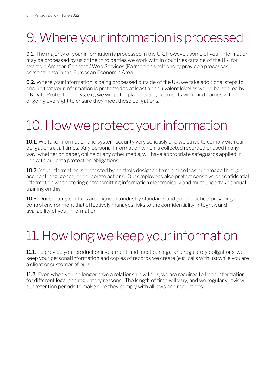### <span id="page-6-0"></span>9. Where your information is processed

**9.1.** The majority of your information is processed in the UK. However, some of your information may be processed by us or the third parties we work with in countries outside of the UK, for example Amazon Connect / Web Services (Parmenion's telephony provider) processes personal data in the European Economic Area.

**9.2.** Where your information is being processed outside of the UK, we take additional steps to ensure that your information is protected to at least an equivalent level as would be applied by UK Data Protection Laws, e.g., we will put in place legal agreements with third parties with ongoing oversight to ensure they meet these obligations.

### <span id="page-6-1"></span>10. How we protect your information

10.1. We take information and system security very seriously and we strive to comply with our obligations at all times. Any personal information which is collected recorded or used in any way, whether on paper, online or any other media, will have appropriate safeguards applied in line with our data protection obligations.

10.2. Your information is protected by controls designed to minimise loss or damage through accident, negligence, or deliberate actions. Our employees also protect sensitive or confidential information when storing or transmitting information electronically and must undertake annual training on this.

**10.3.** Our security controls are aligned to industry standards and good practice, providing a control environment that effectively manages risks to the confidentiality, integrity, and availability of your information.

### <span id="page-6-2"></span>11. How long we keep your information

**11.1.** To provide your product or investment, and meet our legal and regulatory obligations, we keep your personal information and copies of records we create (e.g., calls with us) while you are a client or customer of ours.

**11.2.** Even when you no longer have a relationship with us, we are required to keep information for different legal and regulatory reasons. The length of time will vary, and we regularly review our retention periods to make sure they comply with all laws and regulations.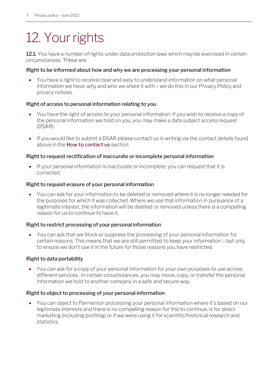### <span id="page-7-0"></span>12. Your rights

12.1. You have a number of rights under data protection laws which may be exercised in certain circumstances. These are:

#### Right to be informed about how and why we are processing your personal information

• You have a right to receive clear and easy to understand information on what personal information we have, why and who we share it with – we do this in our Privacy Policy and privacy notices.

#### Right of access to personal information relating to you

- You have the right of access to your personal information. If you wish to receive a copy of the personal information we hold on you, you may make a data subject access request (DSAR).
- If you would like to submit a DSAR please contact us in writing via the contact details found above in the **[How to contact us](#page-2-2)** section.

#### Right to request rectification of inaccurate or incomplete personal information

• If your personal information is inaccurate or incomplete, you can request that it is corrected.

#### Right to request erasure of your personal information

• You can ask for your information to be deleted or removed where it is no longer needed for the purposes for which it was collected. Where we use that information in pursuance of a legitimate interest, the information will be deleted or removed unless there is a compelling reason for us to continue to have it.

#### Right to restrict processing of your personal information

• You can ask that we block or suppress the processing of your personal information for certain reasons. This means that we are still permitted to keep your information – but only to ensure we don't use it in the future for those reasons you have restricted.

#### Right to data portability

• You can ask for a copy of your personal information for your own purposes to use across different services. In certain circumstances, you may move, copy, or transfer the personal information we hold to another company in a safe and secure way.

#### Right to object to processing of your personal information

• You can object to Parmenion processing your personal information where it's based on our legitimate interests and there is no compelling reason for this to continue, is for direct marketing (including profiling) or if we were using it for scientific/historical research and statistics.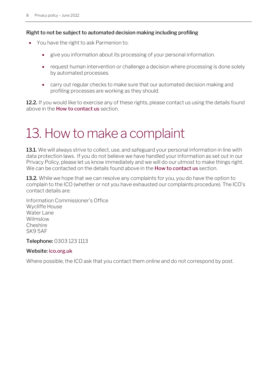#### Right to not be subject to automated decision making including profiling

- You have the right to ask Parmenion to:
	- give you information about its processing of your personal information.
	- request human intervention or challenge a decision where processing is done solely by automated processes.
	- carry out regular checks to make sure that our automated decision making and profiling processes are working as they should.

12.2. If you would like to exercise any of these rights, please contact us using the details found above in the **[How to contact us](#page-2-2)** section.

### <span id="page-8-0"></span>13. How to make a complaint

13.1. We will always strive to collect, use, and safeguard your personal information in line with data protection laws. If you do not believe we have handled your information as set out in our Privacy Policy, please let us know immediately and we will do our utmost to make things right. We can be contacted on the details found above in the **[How to contact us](#page-2-2)** section.

**13.2.** While we hope that we can resolve any complaints for you, you do have the option to complain to the ICO (whether or not you have exhausted our complaints procedure). The ICO's contact details are:

Information Commissioner's Office Wycliffe House Water Lane Wilmslow Cheshire SK9 5AF

Telephone: 0303 123 1113

#### Website: [ico.org.uk](http://www.ico.org.uk/)

Where possible, the ICO ask that you contact them online and do not correspond by post.